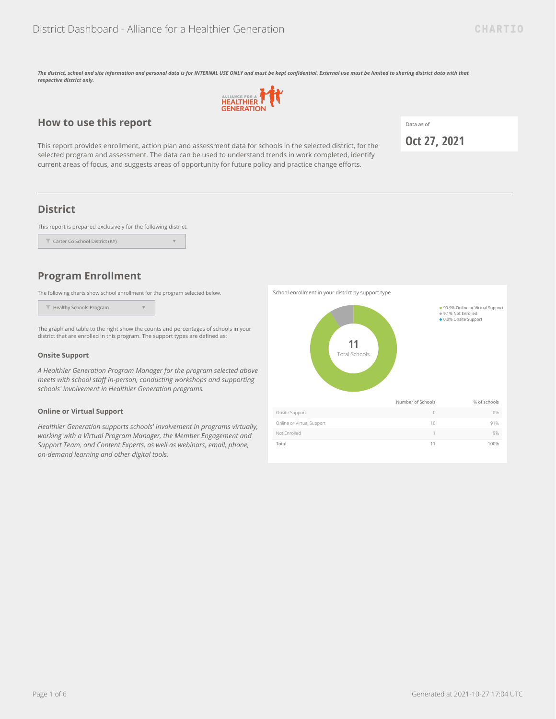*The district, school and site information and personal data is for INTERNAL USE ONLY and must be kept confidential. External use must be limited to sharing district data with that respective district only.*



## **How to use this report**

This report provides enrollment, action plan and assessment data for schools in the selected district, for the selected program and assessment. The data can be used to understand trends in work completed, identify current areas of focus, and suggests areas of opportunity for future policy and practice change efforts.

Data as of

**Oct 27, 2021**

## **District**

This report is prepared exclusively for the following district:

| Carter Co School District (KY) |  |
|--------------------------------|--|
|                                |  |

## **Program Enrollment**

The following charts show school enrollment for the program selected below.

Healthy Schools Program

The graph and table to the right show the counts and percentages of schools in your district that are enrolled in this program. The support types are defined as:

 $\overline{\mathbf{v}}$ 

### **Onsite Support**

*A Healthier Generation Program Manager for the program selected above meets with school staff in-person, conducting workshops and supporting schools' involvement in Healthier Generation programs.*

#### **Online or Virtual Support**

*Healthier Generation supports schools' involvement in programs virtually, working with a Virtual Program Manager, the Member Engagement and Support Team, and Content Experts, as well as webinars, email, phone, on-demand learning and other digital tools.*

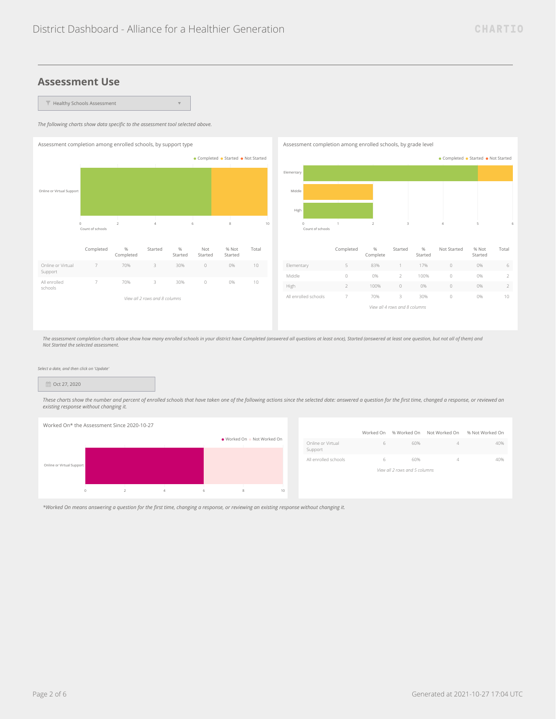$\bar{\mathbf{v}}$ 

Started

Total

## **Assessment Use**

 $\blacktriangledown$  Healthy Schools Assessment

*The following charts show data specific to the assessment tool selected above.*



*The assessment completion charts above show how many enrolled schools in your district have Completed (answered all questions at least once), Started (answered at least one question, but not all of them) and Not Started the selected assessment.*

#### *Select a date, and then click on 'Update'*

#### Oct 27, 2020

These charts show the number and percent of enrolled schools that have taken one of the following actions since the selected date: answered a question for the first time, changed a response, or reviewed an *existing response without changing it.*



|                              |   | Worked On % Worked On         | Not Worked On | % Not Worked On |
|------------------------------|---|-------------------------------|---------------|-----------------|
| Online or Virtual<br>Support | 6 | 60%                           | 4             | 40%             |
| All enrolled schools         | 6 | 60%                           | 4             | 40%             |
|                              |   | View all 2 rows and 5 columns |               |                 |
|                              |   |                               |               |                 |

*\*Worked On means answering a question for the first time, changing a response, or reviewing an existing response without changing it.*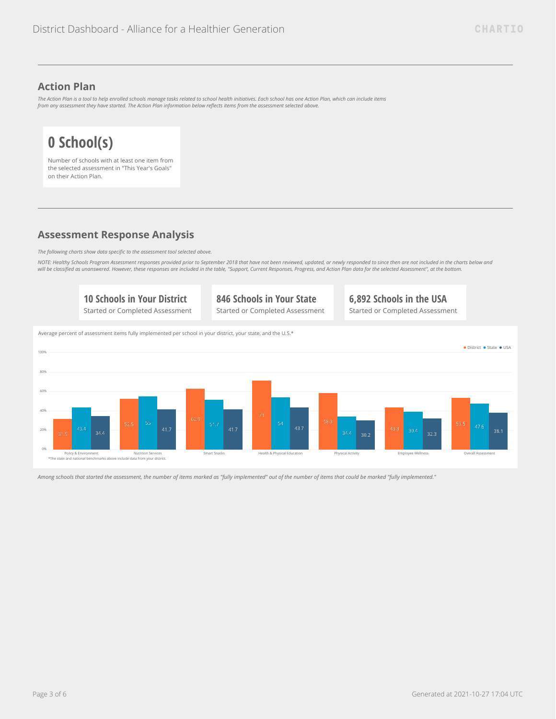## **Action Plan**

*The Action Plan is a tool to help enrolled schools manage tasks related to school health initiatives. Each school has one Action Plan, which can include items from any assessment they have started. The Action Plan information below reflects items from the assessment selected above.*

# **0 School(s)**

Number of schools with at least one item from the selected assessment in "This Year's Goals" on their Action Plan.

# **Assessment Response Analysis**

*The following charts show data specific to the assessment tool selected above.*

*NOTE: Healthy Schools Program Assessment responses provided prior to September 2018 that have not been reviewed, updated, or newly responded to since then are not included in the charts below and will be classified as unanswered. However, these responses are included in the table, "Support, Current Responses, Progress, and Action Plan data for the selected Assessment", at the bottom.*



*Among schools that started the assessment, the number of items marked as "fully implemented" out of the number of items that could be marked "fully implemented."*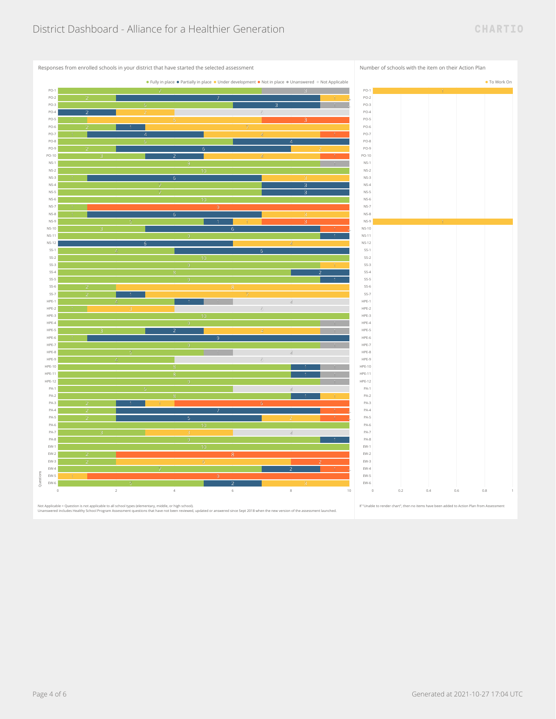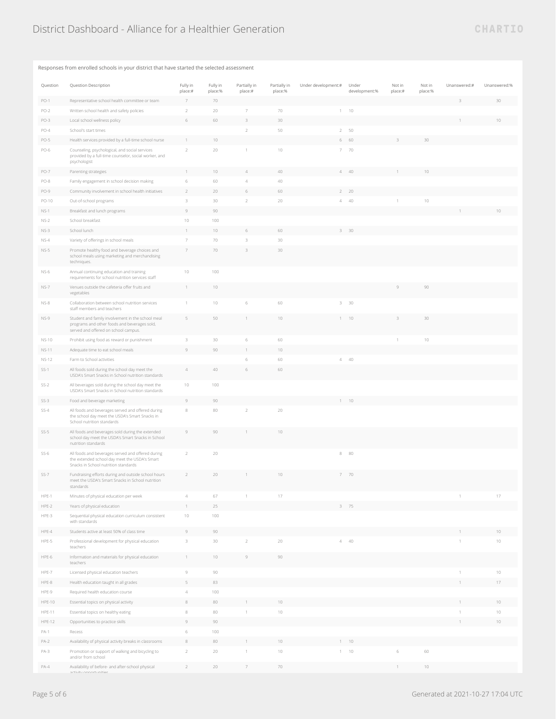## Responses from enrolled schools in your district that have started the selected assessment

| Question      | Question Description                                                                                                                       | Fully in<br>place:# | Fully in<br>place:% | Partially in<br>place:# | Partially in<br>place:% | Under development:# | Under<br>development:% | Not in<br>place:# | Not in<br>place:% | Unanswered:# | Unanswered:% |
|---------------|--------------------------------------------------------------------------------------------------------------------------------------------|---------------------|---------------------|-------------------------|-------------------------|---------------------|------------------------|-------------------|-------------------|--------------|--------------|
| $PO-1$        | Representative school health committee or team                                                                                             | $\overline{7}$      | 70                  |                         |                         |                     |                        |                   |                   |              | 30           |
| $PO-2$        | Written school health and safety policies                                                                                                  | $\sqrt{2}$          | 20                  | 7                       | 70                      | $\mathbf{1}$        | $10$                   |                   |                   |              |              |
| PO-3          | Local school wellness policy                                                                                                               | 6                   | 60                  | 3                       | 30                      |                     |                        |                   |                   |              |              |
| $PO-4$        | School's start times                                                                                                                       |                     |                     | $\overline{2}$          | 50                      | $2^{\circ}$         | 50                     |                   |                   |              |              |
| PO-5          | Health services provided by a full-time school nurse                                                                                       |                     | 10                  |                         |                         | 6                   | 60                     |                   | 30                |              |              |
| PO-6          | Counseling, psychological, and social services<br>provided by a full-time counselor, social worker, and<br>psychologist                    | $\sqrt{2}$          | 20                  |                         | 10                      |                     | $7 - 70$               |                   |                   |              |              |
| PO-7          | Parenting strategies                                                                                                                       |                     | $10\,$              | $\overline{A}$          | 40                      | $4 -$               | 40                     |                   | $10\,$            |              |              |
| PO-8          | Family engagement in school decision making                                                                                                | $\,$ 6              | 60                  | $\overline{4}$          | 40                      |                     |                        |                   |                   |              |              |
| PO-9          | Community involvement in school health initiatives                                                                                         | $\overline{2}$      | 20                  | 6                       | 60                      | $\overline{2}$      | 20                     |                   |                   |              |              |
| PO-10         | Out-of-school programs                                                                                                                     | 3                   | 30                  | $\sqrt{2}$              | 20                      |                     | $4 - 40$               | $\mathbf{1}$      | $10\,$            |              |              |
| $NS-1$        | Breakfast and lunch programs                                                                                                               | 9                   | 90                  |                         |                         |                     |                        |                   |                   |              | 10           |
| $NS-2$        | School breakfast                                                                                                                           | $10\,$              | 100                 |                         |                         |                     |                        |                   |                   |              |              |
| $NS-3$        | School lunch                                                                                                                               | $\overline{1}$      | 10                  | $\,$ 6                  | 60                      | 3                   | 30                     |                   |                   |              |              |
| $NS-4$        | Variety of offerings in school meals                                                                                                       | 7                   | 70                  | 3                       | 30                      |                     |                        |                   |                   |              |              |
| $NS-5$        | Promote healthy food and beverage choices and<br>school meals using marketing and merchandising<br>techniques.                             | $\overline{7}$      | 70                  | 3                       | 30                      |                     |                        |                   |                   |              |              |
| NS-6          | Annual continuing education and training<br>requirements for school nutrition services staff                                               | 10                  | 100                 |                         |                         |                     |                        |                   |                   |              |              |
| $NS-7$        | Venues outside the cafeteria offer fruits and<br>vegetables                                                                                | $\mathbf{1}$        | 10                  |                         |                         |                     |                        | Q                 | 90                |              |              |
| $NS-8$        | Collaboration between school nutrition services<br>staff members and teachers                                                              | $\mathbf{1}$        | 10                  | 6                       | 60                      |                     | $3 - 30$               |                   |                   |              |              |
| $NS-9$        | Student and family involvement in the school meal<br>programs and other foods and beverages sold,<br>served and offered on school campus.  |                     | 50                  |                         | 10                      |                     | 10                     |                   | 30                |              |              |
| NS-10         | Prohibit using food as reward or punishment                                                                                                | 3                   | 30                  | 6                       | 60                      |                     |                        | 1                 | $10\,$            |              |              |
| <b>NS-11</b>  | Adequate time to eat school meals                                                                                                          | $\circ$             | 90                  |                         | 10                      |                     |                        |                   |                   |              |              |
| <b>NS-12</b>  | Farm to School activities                                                                                                                  |                     |                     | $\,$ 6                  | 60                      | $\overline{4}$      | 40                     |                   |                   |              |              |
| $SS-1$        | All foods sold during the school day meet the<br>USDA's Smart Snacks in School nutrition standards                                         | $\Delta$            | 40                  | $\,$ 6                  | 60                      |                     |                        |                   |                   |              |              |
| $SS-2$        | All beverages sold during the school day meet the<br>USDA's Smart Snacks in School nutrition standards                                     | 10                  | 100                 |                         |                         |                     |                        |                   |                   |              |              |
| $SS-3$        | Food and beverage marketing                                                                                                                | 9                   | 90                  |                         |                         |                     | 10                     |                   |                   |              |              |
| $SS-4$        | All foods and beverages served and offered during<br>the school day meet the USDA's Smart Snacks in<br>School nutrition standards          | $\,$ 8              | 80                  | $\overline{2}$          | 20                      |                     |                        |                   |                   |              |              |
| $SS-5$        | All foods and beverages sold during the extended<br>school day meet the USDA's Smart Snacks in School<br>nutrition standards               | 9                   | 90                  |                         | 10                      |                     |                        |                   |                   |              |              |
| $SS-6$        | All foods and beverages served and offered during<br>the extended school day meet the USDA's Smart<br>Snacks in School nutrition standards | $\overline{2}$      | 20                  |                         |                         | 8                   | 80                     |                   |                   |              |              |
| $SS-7$        | Fundraising efforts during and outside school hours<br>meet the USDA's Smart Snacks in School nutrition<br>standards                       | $\overline{2}$      | 20                  |                         | 10                      | 7                   | 70                     |                   |                   |              |              |
| HPE-1         | Minutes of physical education per week                                                                                                     | $\overline{4}$      | 67                  |                         | 17                      |                     |                        |                   |                   |              | $17\,$       |
| HPE-2         | Years of physical education                                                                                                                | $\mathbf{1}$        | 25                  |                         |                         | 3                   | 75                     |                   |                   |              |              |
| HPE-3         | Sequential physical education curriculum consistent<br>with standards                                                                      | 10                  | 100                 |                         |                         |                     |                        |                   |                   |              |              |
| HPE-4         | Students active at least 50% of class time                                                                                                 | $\mathbf{Q}$        | $90\,$              |                         |                         |                     |                        |                   |                   |              | 10           |
| HPE-5         | Professional development for physical education<br>teachers                                                                                | 3                   | 30                  | $\overline{2}$          | 20                      |                     | $4 - 40$               |                   |                   |              | 10           |
| HPE-6         | Information and materials for physical education<br>teachers                                                                               | $\mathbf{1}$        | $10 -$              | $\mathcal G$            | 90                      |                     |                        |                   |                   |              |              |
| HPE-7         | Licensed physical education teachers                                                                                                       | $\,9$               | 90                  |                         |                         |                     |                        |                   |                   |              | 10           |
| HPE-8         | Health education taught in all grades                                                                                                      | 5                   | 83                  |                         |                         |                     |                        |                   |                   |              | 17           |
| HPE-9         | Required health education course                                                                                                           | $\overline{4}$      | 100                 |                         |                         |                     |                        |                   |                   |              |              |
| HPE-10        | Essential topics on physical activity                                                                                                      | 8                   | 80                  |                         | 10                      |                     |                        |                   |                   |              | 10           |
| HPE-11        | Essential topics on healthy eating                                                                                                         | $\,$ $\,$           | 80                  |                         | $10\,$                  |                     |                        |                   |                   |              | $10\,$       |
| <b>HPE-12</b> | Opportunities to practice skills                                                                                                           | $\mathcal G$        | 90                  |                         |                         |                     |                        |                   |                   |              | $10\,$       |
| $PA-1$        | Recess                                                                                                                                     | 6                   | 100                 |                         |                         |                     |                        |                   |                   |              |              |
| $PA-2$        | Availability of physical activity breaks in classrooms                                                                                     | 8                   | 80                  |                         | 10                      |                     | 10                     |                   |                   |              |              |
| PA-3          | Promotion or support of walking and bicycling to                                                                                           | $\sqrt{2}$          | 20                  |                         | $10\,$                  |                     | $1 - 10$               | 6                 | 60                |              |              |
| $PA-4$        | and/or from school<br>Availability of before- and after-school physical                                                                    |                     | 20                  |                         | 70                      |                     |                        |                   | 10                |              |              |
|               |                                                                                                                                            |                     |                     |                         |                         |                     |                        |                   |                   |              |              |

activity opportunities